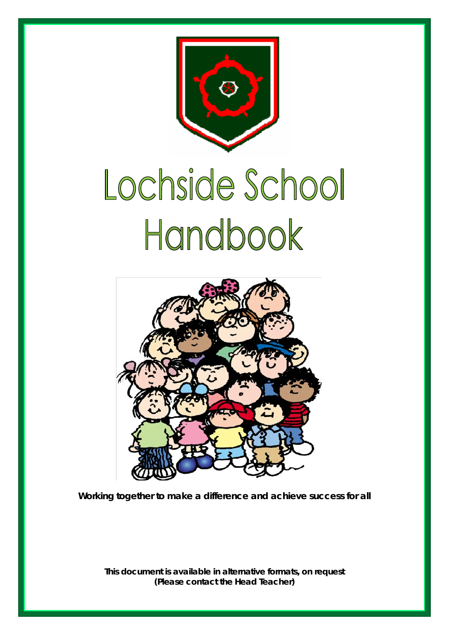

# Lochside School Handbook



*Working together to make a difference and achieve success for all* 

**This document is available in alternative formats, on request (Please contact the Head Teacher)**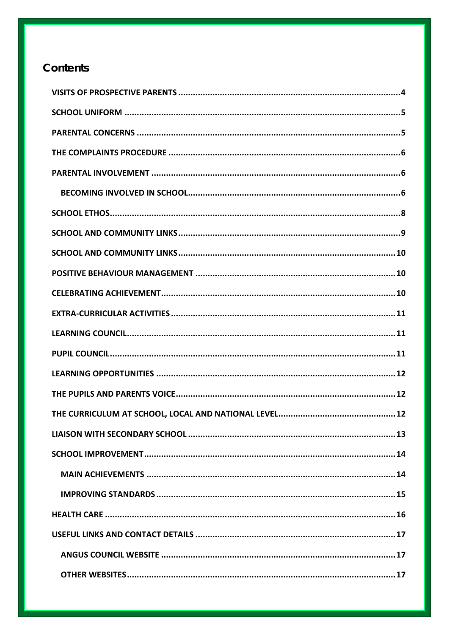# Contents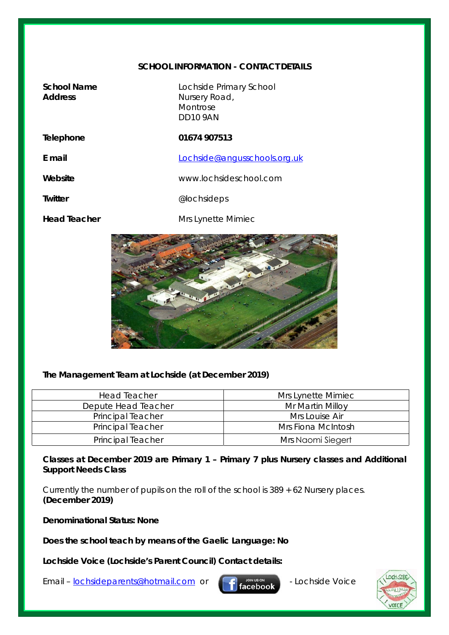#### **SCHOOL INFORMATION - CONTACT DETAILS**

**School Name** Lochside Primary School<br> **Address** Nursery Road **Nursery Road,** Montrose DD10 9AN

**Telephone 01674 907513**

**E mail** [Lochside@angusschools.org.uk](mailto:Lochside@angusschools.org.uk)

**Website** www.lochsideschool.com

**Twitter and COVID-10 COVID-10 COVID-10 COVID-10 COVID-10 COVID-10 COVID-10 COVID-10 COVID-10 COVID-10 COVID-10 COVID-10 COVID-10 COVID-10 COVID-10 COVID-10 COVID-10 COVID-10 COVID-10** 

**Head Teacher** Mrs Lynette Mimiec



**The Management Team at Lochside (at December 2019)** 

| <b>Head Teacher</b>      | Mrs Lynette Mimiec |
|--------------------------|--------------------|
| Depute Head Teacher      | Mr Martin Milloy   |
| <b>Principal Teacher</b> | Mrs Louise Air     |
| <b>Principal Teacher</b> | Mrs Fiona McIntosh |
| <b>Principal Teacher</b> | Mrs Naomi Siegert  |

**Classes at December 2019 are Primary 1 – Primary 7 plus Nursery classes and Additional Support Needs Class**

Currently the number of pupils on the roll of the school is 389 + 62 Nursery places. **(December 2019)** 

**Denominational Status: None**

**Does the school teach by means of the Gaelic Language: No**

**Lochside Voice (Lochside's Parent Council) Contact details:**

Email – [lochsideparents@hotmail.com](mailto:lochsideparents@hotmail.com) or **Figure 1990** - Lochside Voice



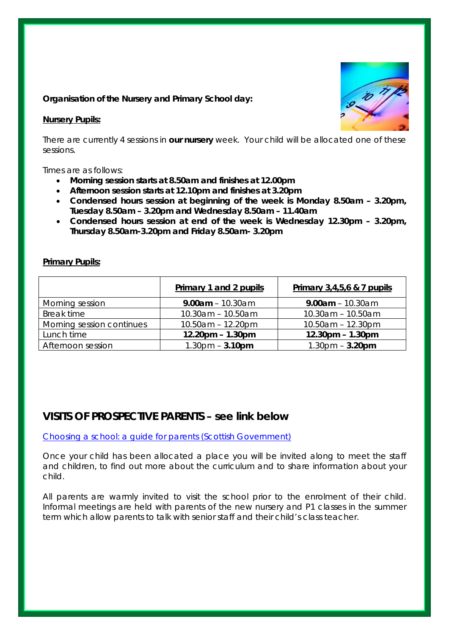#### **Organisation of the Nursery and Primary School day:**

#### **Nursery Pupils:**

There are currently 4 sessions in **our nursery** week. Your child will be allocated one of these sessions.

Times are as follows:

- **Morning session starts at 8.50am and finishes at 12.00pm**
- **Afternoon session starts at 12.10pm and finishes at 3.20pm**
- **Condensed hours session at beginning of the week is Monday 8.50am 3.20pm, Tuesday 8.50am – 3.20pm and Wednesday 8.50am – 11.40am**
- **Condensed hours session at end of the week is Wednesday 12.30pm 3.20pm, Thursday 8.50am-3.20pm and Friday 8.50am- 3.20pm**

#### **Primary Pupils:**

|                           | Primary 1 and 2 pupils  | Primary $3,4,5,6$ & 7 pupils |
|---------------------------|-------------------------|------------------------------|
| Morning session           | $9.00am - 10.30am$      | $9.00am - 10.30am$           |
| Break time                | $10.30$ am – $10.50$ am | $10.30$ am – $10.50$ am      |
| Morning session continues | $10.50am - 12.20pm$     | $10.50am - 12.30pm$          |
| Lunch time                | $12.20$ pm – 1.30pm     | $12.30pm - 1.30pm$           |
| Afternoon session         | $1.30pm - 3.10pm$       | $1.30pm - 3.20pm$            |

## <span id="page-3-0"></span>**VISITS OF PROSPECTIVE PARENTS – see link below**

[Choosing a school: a guide for parents \(Scottish Government\)](http://www.gov.scot/Publications/2010/11/10093528/0)

Once your child has been allocated a place you will be invited along to meet the staff and children, to find out more about the curriculum and to share information about your child.

All parents are warmly invited to visit the school prior to the enrolment of their child. Informal meetings are held with parents of the new nursery and P1 classes in the summer term which allow parents to talk with senior staff and their child's class teacher.

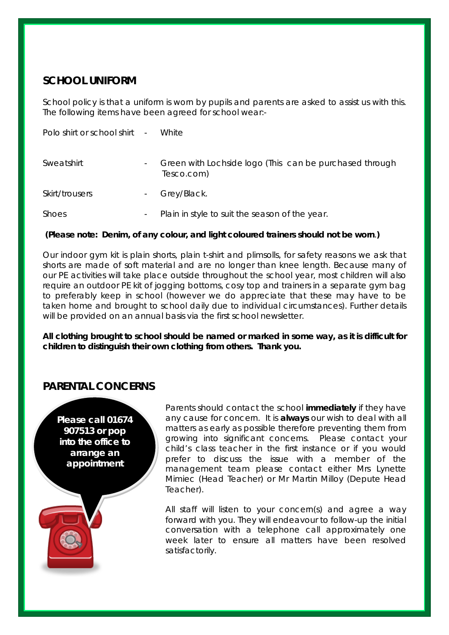## <span id="page-4-0"></span>**SCHOOL UNIFORM**

School policy is that a uniform is worn by pupils and parents are asked to assist us with this. The following items have been agreed for school wear:-

| Polo shirt or school shirt - |                          | White                                                                 |
|------------------------------|--------------------------|-----------------------------------------------------------------------|
| Sweatshirt                   | $\overline{\phantom{a}}$ | Green with Lochside logo (This can be purchased through<br>Tesco.com) |
| Skirt/trousers               | $\overline{\phantom{a}}$ | Grey/Black.                                                           |
| <b>Shoes</b>                 | $\overline{\phantom{a}}$ | Plain in style to suit the season of the year.                        |

### **(Please note: Denim, of any colour, and light coloured trainers should not be worn**.**)**

Our indoor gym kit is plain shorts, plain t-shirt and plimsolls, for safety reasons we ask that shorts are made of soft material and are no longer than knee length. Because many of our PE activities will take place outside throughout the school year, most children will also require an outdoor PE kit of jogging bottoms, cosy top and trainers in a separate gym bag to preferably keep in school (however we do appreciate that these may have to be taken home and brought to school daily due to individual circumstances). Further details will be provided on an annual basis via the first school newsletter.

**All clothing brought to school should be named or marked in some way, as it is difficult for children to distinguish their own clothing from others. Thank you.**

## <span id="page-4-1"></span>**PARENTAL CONCERNS**



Parents should contact the school **immediately** if they have any cause for concern. It is **always** our wish to deal with all matters as early as possible therefore preventing them from growing into significant concerns. Please contact your child's class teacher in the first instance or if you would prefer to discuss the issue with a member of the management team please contact either Mrs Lynette Mimiec (Head Teacher) or Mr Martin Milloy (Depute Head Teacher).

All staff will listen to your concern(s) and agree a way forward with you. They will endeavour to follow-up the initial conversation with a telephone call approximately one week later to ensure all matters have been resolved satisfactorily.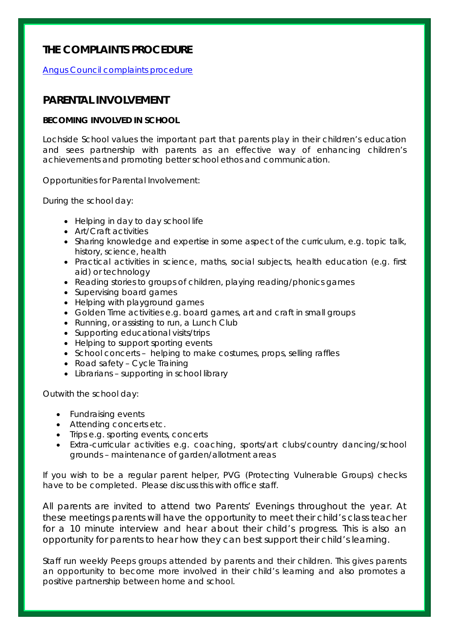# <span id="page-5-0"></span>**THE COMPLAINTS PROCEDURE**

[Angus Council complaints procedure](https://www.angus.gov.uk/council_and_democracy/complaints_and_comments/making_a_complaint_or_comment_about_our_services)

## <span id="page-5-1"></span>**PARENTAL INVOLVEMENT**

#### <span id="page-5-2"></span>**BECOMING INVOLVED IN SCHOOL**

Lochside School values the important part that parents play in their children's education and sees partnership with parents as an effective way of enhancing children's achievements and promoting better school ethos and communication.

Opportunities for Parental Involvement:

During the school day:

- Helping in day to day school life
- Art/Craft activities
- Sharing knowledge and expertise in some aspect of the curriculum, e.g. topic talk, history, science, health
- Practical activities in science, maths, social subjects, health education (e.g. first aid) or technology
- Reading stories to groups of children, playing reading/phonics games
- Supervising board games
- Helping with playground games
- Golden Time activities e.g. board games, art and craft in small groups
- Running, or assisting to run, a Lunch Club
- Supporting educational visits/trips
- Helping to support sporting events
- School concerts helping to make costumes, props, selling raffles
- Road safety Cycle Training
- Librarians supporting in school library

Outwith the school day:

- Fundraising events
- Attending concerts etc.
- Trips e.g. sporting events, concerts
- Extra-curricular activities e.g. coaching, sports/art clubs/country dancing/school grounds – maintenance of garden/allotment areas

If you wish to be a regular parent helper, PVG (Protecting Vulnerable Groups) checks have to be completed. Please discuss this with office staff.

All parents are invited to attend two Parents' Evenings throughout the year. At these meetings parents will have the opportunity to meet their child's class teacher for a 10 minute interview and hear about their child's progress. This is also an opportunity for parents to hear how they can best support their child's learning.

Staff run weekly Peeps groups attended by parents and their children. This gives parents an opportunity to become more involved in their child's learning and also promotes a positive partnership between home and school.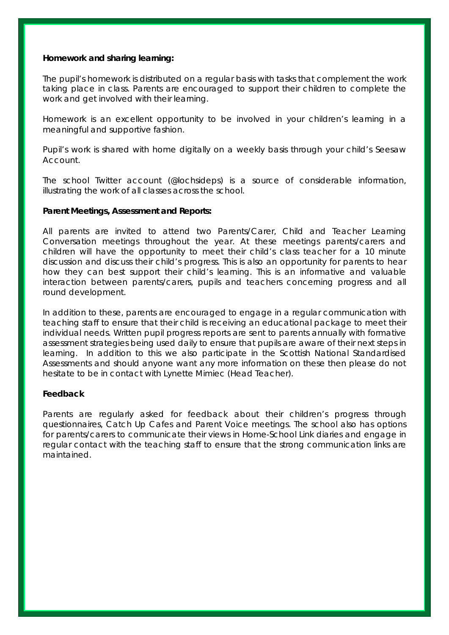#### **Homework and sharing learning:**

The pupil's homework is distributed on a regular basis with tasks that complement the work taking place in class. Parents are encouraged to support their children to complete the work and get involved with their learning.

Homework is an excellent opportunity to be involved in your children's learning in a meaningful and supportive fashion.

Pupil's work is shared with home digitally on a weekly basis through your child's Seesaw Account.

The school Twitter account (@lochsideps) is a source of considerable information, illustrating the work of all classes across the school.

#### **Parent Meetings, Assessment and Reports:**

All parents are invited to attend two Parents/Carer, Child and Teacher Learning Conversation meetings throughout the year. At these meetings parents/carers and children will have the opportunity to meet their child's class teacher for a 10 minute discussion and discuss their child's progress. This is also an opportunity for parents to hear how they can best support their child's learning. This is an informative and valuable interaction between parents/carers, pupils and teachers concerning progress and all round development.

In addition to these, parents are encouraged to engage in a regular communication with teaching staff to ensure that their child is receiving an educational package to meet their individual needs. Written pupil progress reports are sent to parents annually with formative assessment strategies being used daily to ensure that pupils are aware of their next steps in learning. In addition to this we also participate in the Scottish National Standardised Assessments and should anyone want any more information on these then please do not hesitate to be in contact with Lynette Mimiec (Head Teacher).

#### **Feedback**

Parents are regularly asked for feedback about their children's progress through questionnaires, Catch Up Cafes and Parent Voice meetings. The school also has options for parents/carers to communicate their views in Home-School Link diaries and engage in regular contact with the teaching staff to ensure that the strong communication links are maintained.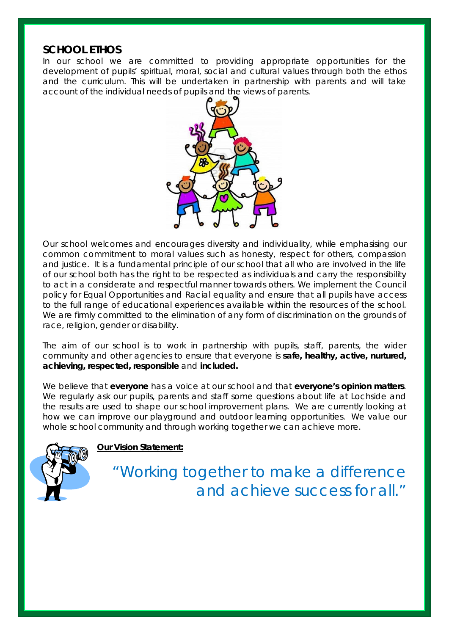## <span id="page-7-0"></span>**SCHOOL ETHOS**

In our school we are committed to providing appropriate opportunities for the development of pupils' spiritual, moral, social and cultural values through both the ethos and the curriculum. This will be undertaken in partnership with parents and will take account of the individual needs of pupils and the views of parents.



Our school welcomes and encourages diversity and individuality, while emphasising our common commitment to moral values such as honesty, respect for others, compassion and justice. It is a fundamental principle of our school that all who are involved in the life of our school both has the right to be respected as individuals and carry the responsibility to act in a considerate and respectful manner towards others. We implement the Council policy for Equal Opportunities and Racial equality and ensure that all pupils have access to the full range of educational experiences available within the resources of the school. We are firmly committed to the elimination of any form of discrimination on the grounds of race, religion, gender or disability.

The aim of our school is to work in partnership with pupils, staff, parents, the wider community and other agencies to ensure that everyone is **safe, healthy, active, nurtured, achieving, respected, responsible** and **included.**

We believe that **everyone** has a voice at our school and that **everyone's opinion matters**. We regularly ask our pupils, parents and staff some questions about life at Lochside and the results are used to shape our school improvement plans. We are currently looking at how we can improve our playground and outdoor learning opportunities. We value our whole school community and through working together we can achieve more.



## **Our Vision Statement:**

"Working together to make a difference and achieve success for all."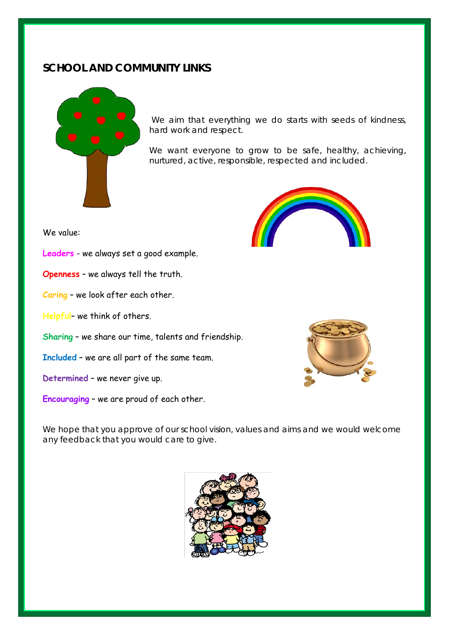## <span id="page-8-0"></span>**SCHOOL AND COMMUNITY LINKS**



We aim that everything we do starts with seeds of kindness, hard work and respect.

We want everyone to grow to be safe, healthy, achieving, nurtured, active, responsible, respected and included.



We value:

- **Leaders** we always set a good example.
- **Openness** we always tell the truth.
- **Caring** we look after each other.
- **Helpful** we think of others.
- **Sharing** we share our time, talents and friendship.
- **Included** we are all part of the same team.
- **Determined** we never give up.
- **Encouraging** we are proud of each other.

We hope that you approve of our school vision, values and aims and we would welcome any feedback that you would care to give.



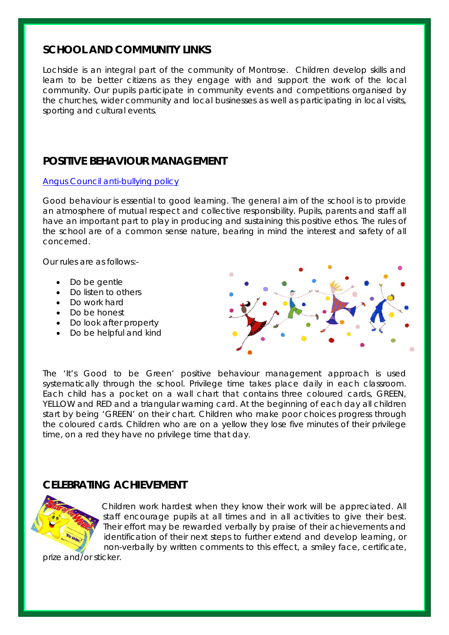## <span id="page-9-0"></span>**SCHOOL AND COMMUNITY LINKS**

Lochside is an integral part of the community of Montrose. Children develop skills and learn to be better citizens as they engage with and support the work of the local community. Our pupils participate in community events and competitions organised by the churches, wider community and local businesses as well as participating in local visits, sporting and cultural events.

## <span id="page-9-1"></span>**POSITIVE BEHAVIOUR MANAGEMENT**

#### [Angus Council anti-bullying policy](https://www.angus.gov.uk/schools_and_young_people/parent_and_pupil_guidance/anti_bullying_policy)

*Good behaviour is essential to good learning. The general aim of the school is to provide an atmosphere of mutual respect and collective responsibility. Pupils, parents and staff all*  have an important part to play in producing and sustaining this positive ethos. The rules of *the school are of a common sense nature, bearing in mind the interest and safety of all concerned.*

*Our rules are as follows:-* 

- *Do be gentle*
- *Do listen to others*
- *Do work hard*
- *Do be honest*
- *Do look after property*
- *Do be helpful and kind*



The 'It's Good to be Green' positive behaviour management approach is used systematically through the school. Privilege time takes place daily in each classroom. Each child has a pocket on a wall chart that contains three coloured cards, GREEN, YELLOW and RED and a triangular warning card. At the beginning of each day all children start by being 'GREEN' on their chart. Children who make poor choices progress through the coloured cards. Children who are on a yellow they lose five minutes of their privilege time, on a red they have no privilege time that day.

## <span id="page-9-2"></span>**CELEBRATING ACHIEVEMENT**



Children work hardest when they know their work will be appreciated. All staff encourage pupils at all times and in all activities to give their best. Their effort may be rewarded verbally by praise of their achievements and identification of their next steps to further extend and develop learning, or non-verbally by written comments to this effect, a smiley face, certificate,

prize and/or sticker.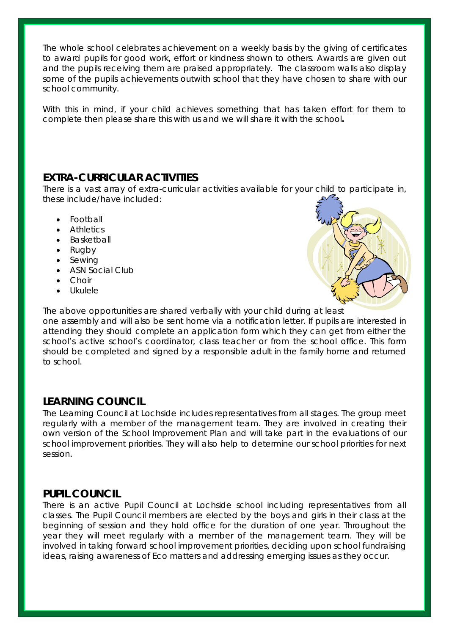The whole school celebrates achievement on a weekly basis by the giving of certificates to award pupils for good work, effort or kindness shown to others. Awards are given out and the pupils receiving them are praised appropriately. The classroom walls also display some of the pupils achievements outwith school that they have chosen to share with our school community.

With this in mind, if your child achieves something that has taken effort for them to complete then please share this with us and we will share it with the school**.** 

## <span id="page-10-0"></span>**EXTRA-CURRICULAR ACTIVITIES**

There is a vast array of extra-curricular activities available for your child to participate in, these include/have included:

- **Football**
- **Athletics**
- **Basketball**
- Rugby
- **Sewing**
- ASN Social Club
- Choir
- Ukulele



The above opportunities are shared verbally with your child during at least one assembly and will also be sent home via a notification letter. If pupils are interested in attending they should complete an application form which they can get from either the school's active school's coordinator, class teacher or from the school office. This form should be completed and signed by a responsible adult in the family home and returned to school.

## <span id="page-10-1"></span>**LEARNING COUNCIL**

The Learning Council at Lochside includes representatives from all stages. The group meet regularly with a member of the management team. They are involved in creating their own version of the School Improvement Plan and will take part in the evaluations of our school improvement priorities. They will also help to determine our school priorities for next session.

## <span id="page-10-2"></span>**PUPIL COUNCIL**

There is an active Pupil Council at Lochside school including representatives from all classes. The Pupil Council members are elected by the boys and girls in their class at the beginning of session and they hold office for the duration of one year. Throughout the year they will meet regularly with a member of the management team. They will be involved in taking forward school improvement priorities, deciding upon school fundraising ideas, raising awareness of Eco matters and addressing emerging issues as they occur.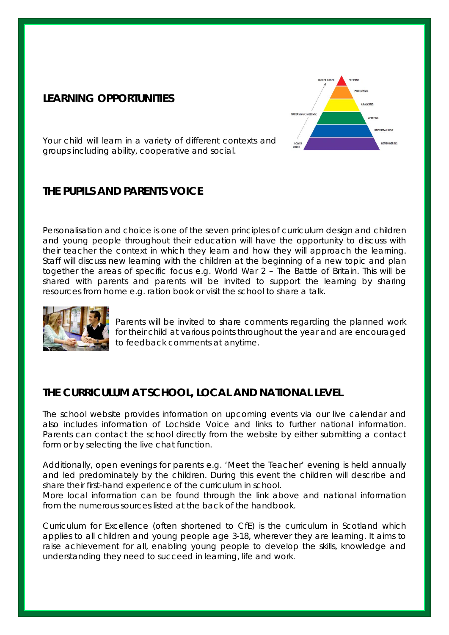## <span id="page-11-0"></span>**LEARNING OPPORTUNITIES**



Your child will learn in a variety of different contexts and groups including ability, cooperative and social.

## <span id="page-11-1"></span>**THE PUPILS AND PARENTS VOICE**

Personalisation and choice is one of the seven principles of curriculum design and children and young people throughout their education will have the opportunity to discuss with their teacher the context in which they learn and how they will approach the learning. Staff will discuss new learning with the children at the beginning of a new topic and plan together the areas of specific focus e.g. World War 2 – The Battle of Britain. This will be shared with parents and parents will be invited to support the learning by sharing resources from home e.g. ration book or visit the school to share a talk.



Parents will be invited to share comments regarding the planned work for their child at various points throughout the year and are encouraged to feedback comments at anytime.

## <span id="page-11-2"></span>**THE CURRICULUM AT SCHOOL, LOCAL AND NATIONAL LEVEL**

The school website provides information on upcoming events via our live calendar and also includes information of Lochside Voice and links to further national information. Parents can contact the school directly from the website by either submitting a contact form or by selecting the live chat function.

Additionally, open evenings for parents e.g. 'Meet the Teacher' evening is held annually and led predominately by the children. During this event the children will describe and share their first-hand experience of the curriculum in school.

More local information can be found through the link above and national information from the numerous sources listed at the back of the handbook.

Curriculum for Excellence (often shortened to CfE) is the curriculum in Scotland which applies to all children and young people age 3-18, wherever they are learning. It aims to raise achievement for all, enabling young people to develop the skills, knowledge and understanding they need to succeed in learning, life and work.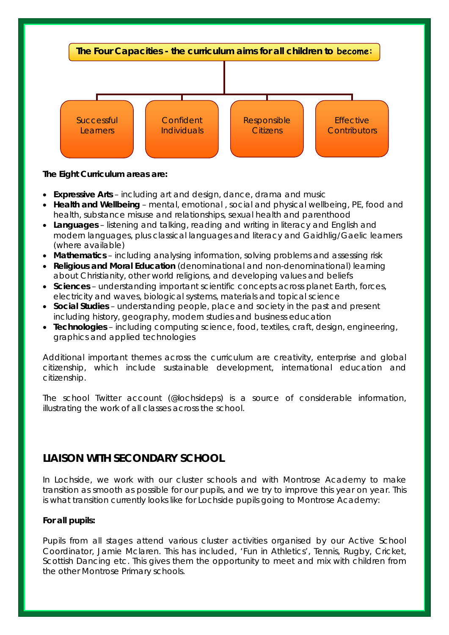

#### **The Eight Curriculum areas are:**

- **Expressive Arts** including art and design, dance, drama and music
- **Health and Wellbeing** mental, emotional , social and physical wellbeing, PE, food and health, substance misuse and relationships, sexual health and parenthood
- **Languages** listening and talking, reading and writing in literacy and English and modern languages, plus classical languages and literacy and Gaidhlig/Gaelic learners (where available)
- **Mathematics** including analysing information, solving problems and assessing risk
- **Religious and Moral Education** (denominational and non-denominational) learning about Christianity, other world religions, and developing values and beliefs
- **Sciences** understanding important scientific concepts across planet Earth, forces, electricity and waves, biological systems, materials and topical science
- **Social Studies** understanding people, place and society in the past and present including history, geography, modern studies and business education
- **Technologies** including computing science, food, textiles, craft, design, engineering, graphics and applied technologies

Additional important themes across the curriculum are creativity, enterprise and global citizenship, which include sustainable development, international education and citizenship.

The school Twitter account (@lochsideps) is a source of considerable information, illustrating the work of all classes across the school.

## <span id="page-12-0"></span>**LIAISON WITH SECONDARY SCHOOL**

In Lochside, we work with our cluster schools and with Montrose Academy to make transition as smooth as possible for our pupils, and we try to improve this year on year. This is what transition currently looks like for Lochside pupils going to Montrose Academy:

#### **For all pupils:**

Pupils from all stages attend various cluster activities organised by our Active School Coordinator, Jamie Mclaren. This has included, 'Fun in Athletics', Tennis, Rugby, Cricket, Scottish Dancing etc. This gives them the opportunity to meet and mix with children from the other Montrose Primary schools.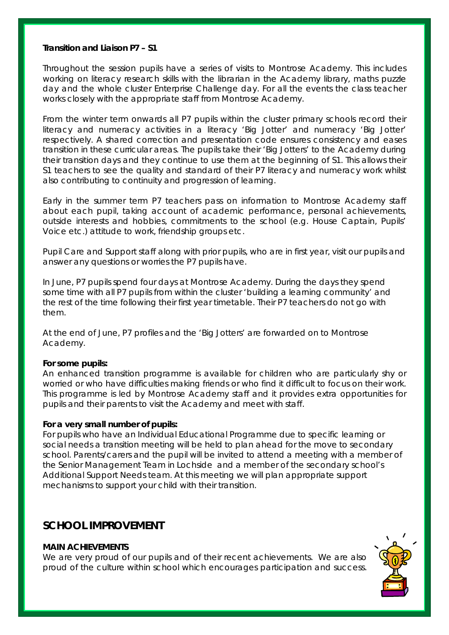#### **Transition and Liaison P7 – S1**

Throughout the session pupils have a series of visits to Montrose Academy. This includes working on literacy research skills with the librarian in the Academy library, maths puzzle day and the whole cluster Enterprise Challenge day. For all the events the class teacher works closely with the appropriate staff from Montrose Academy.

From the winter term onwards all P7 pupils within the cluster primary schools record their literacy and numeracy activities in a literacy 'Big Jotter' and numeracy 'Big Jotter' respectively. A shared correction and presentation code ensures consistency and eases transition in these curricular areas. The pupils take their 'Big Jotters' to the Academy during their transition days and they continue to use them at the beginning of S1. This allows their S1 teachers to see the quality and standard of their P7 literacy and numeracy work whilst also contributing to continuity and progression of learning.

Early in the summer term P7 teachers pass on information to Montrose Academy staff about each pupil, taking account of academic performance, personal achievements, outside interests and hobbies, commitments to the school (e.g. House Captain, Pupils' Voice etc.) attitude to work, friendship groups etc.

Pupil Care and Support staff along with prior pupils, who are in first year, visit our pupils and answer any questions or worries the P7 pupils have.

In June, P7 pupils spend four days at Montrose Academy. During the days they spend some time with all P7 pupils from within the cluster 'building a learning community' and the rest of the time following their first year timetable. Their P7 teachers do not go with them.

At the end of June, P7 profiles and the 'Big Jotters' are forwarded on to Montrose Academy.

#### **For some pupils:**

An enhanced transition programme is available for children who are particularly shy or worried or who have difficulties making friends or who find it difficult to focus on their work. This programme is led by Montrose Academy staff and it provides extra opportunities for pupils and their parents to visit the Academy and meet with staff.

#### **For a very small number of pupils:**

For pupils who have an Individual Educational Programme due to specific learning or social needs a transition meeting will be held to plan ahead for the move to secondary school. Parents/carers and the pupil will be invited to attend a meeting with a member of the Senior Management Team in Lochside and a member of the secondary school's Additional Support Needs team. At this meeting we will plan appropriate support mechanisms to support your child with their transition.

## <span id="page-13-0"></span>**SCHOOL IMPROVEMENT**

#### <span id="page-13-1"></span>**MAIN ACHIEVEMENTS**

We are very proud of our pupils and of their recent achievements. We are also proud of the culture within school which encourages participation and success.

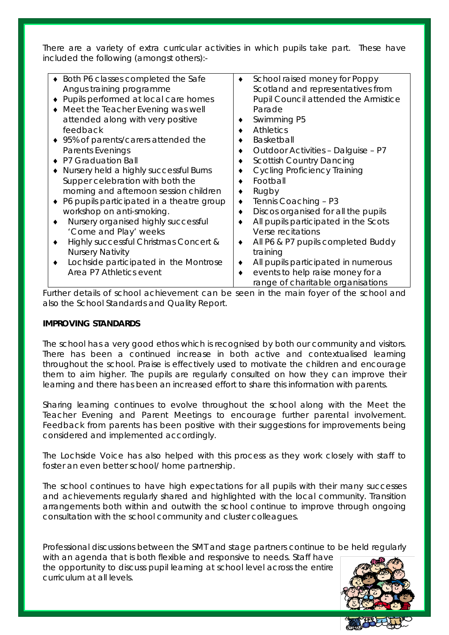There are a variety of extra curricular activities in which pupils take part. These have included the following (amongst others):-

| • Both P6 classes completed the Safe      | School raised money for Poppy<br>٠       |
|-------------------------------------------|------------------------------------------|
| Angus training programme                  | Scotland and representatives from        |
| • Pupils performed at local care homes    | Pupil Council attended the Armistice     |
| Meet the Teacher Evening was well         | Parade                                   |
| attended along with very positive         | Swimming P5                              |
| feedback                                  | <b>Athletics</b>                         |
| • 95% of parents/carers attended the      | Basketball                               |
| <b>Parents Evenings</b>                   | Outdoor Activities - Dalguise - P7       |
| <b>P7 Graduation Ball</b>                 | <b>Scottish Country Dancing</b>          |
| Nursery held a highly successful Burns    | <b>Cycling Proficiency Training</b><br>٠ |
| Supper celebration with both the          | Football                                 |
| morning and afternoon session children    | Rugby<br>٠                               |
| P6 pupils participated in a theatre group | Tennis Coaching - P3<br>$\bullet$        |
| workshop on anti-smoking.                 | Discos organised for all the pupils<br>٠ |
| Nursery organised highly successful       | All pupils participated in the Scots     |
| 'Come and Play' weeks                     | Verse recitations                        |
| Highly successful Christmas Concert &     | All P6 & P7 pupils completed Buddy<br>٠  |
| <b>Nursery Nativity</b>                   | training                                 |
| Lochside participated in the Montrose     | All pupils participated in numerous<br>٠ |
| Area P7 Athletics event                   | events to help raise money for a         |
|                                           | range of charitable organisations        |

Further details of school achievement can be seen in the main foyer of the school and also the School Standards and Quality Report.

#### <span id="page-14-0"></span>**IMPROVING STANDARDS**

The school has a very good ethos which is recognised by both our community and visitors. There has been a continued increase in both active and contextualised learning throughout the school. Praise is effectively used to motivate the children and encourage them to aim higher. The pupils are regularly consulted on how they can improve their learning and there has been an increased effort to share this information with parents.

Sharing learning continues to evolve throughout the school along with the Meet the Teacher Evening and Parent Meetings to encourage further parental involvement. Feedback from parents has been positive with their suggestions for improvements being considered and implemented accordingly.

The Lochside Voice has also helped with this process as they work closely with staff to foster an even better school/ home partnership.

The school continues to have high expectations for all pupils with their many successes and achievements regularly shared and highlighted with the local community. Transition arrangements both within and outwith the school continue to improve through ongoing consultation with the school community and cluster colleagues.

Professional discussions between the SMT and stage partners continue to be held regularly

with an agenda that is both flexible and responsive to needs. Staff have the opportunity to discuss pupil learning at school level across the entire curriculum at all levels.

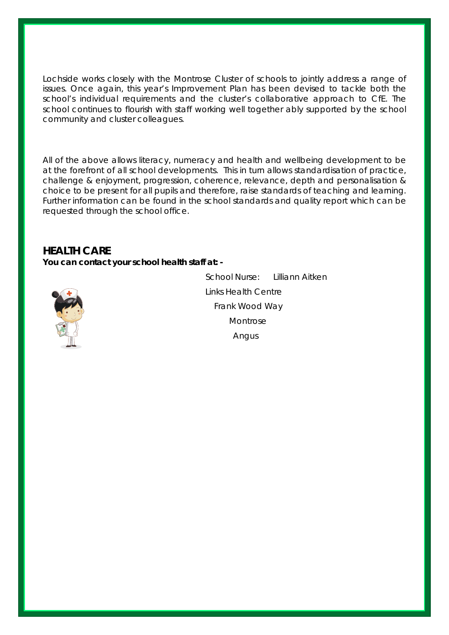Lochside works closely with the Montrose Cluster of schools to jointly address a range of issues. Once again, this year's Improvement Plan has been devised to tackle both the school's individual requirements and the cluster's collaborative approach to CfE. The school continues to flourish with staff working well together ably supported by the school community and cluster colleagues.

All of the above allows literacy, numeracy and health and wellbeing development to be at the forefront of all school developments. This in turn allows standardisation of practice, challenge & enjoyment, progression, coherence, relevance, depth and personalisation & choice to be present for all pupils and therefore, raise standards of teaching and learning. Further information can be found in the school standards and quality report which can be requested through the school office.

# <span id="page-15-0"></span>**HEALTH CARE**

**You can contact your school health staff at: -** 



School Nurse: Lilliann Aitken Links Health Centre Frank Wood Way Montrose Angus